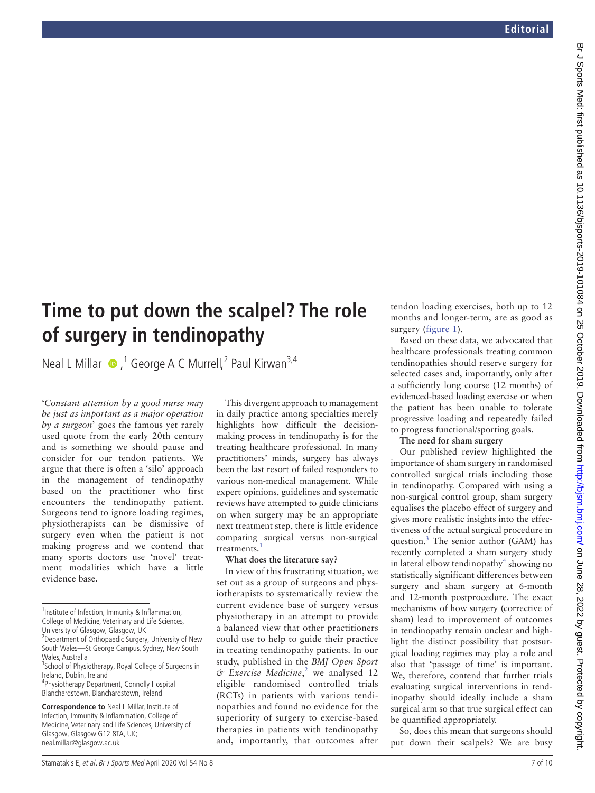# **Time to put down the scalpel? The role of surgery in tendinopathy**

Neal L Millar  $\bullet$ ,<sup>1</sup> George A C Murrell,<sup>2</sup> Paul Kirwan<sup>3,4</sup>

'*Constant attention by a good nurse may be just as important as a major operation by a surgeon*' goes the famous yet rarely used quote from the early 20th century and is something we should pause and consider for our tendon patients. We argue that there is often a 'silo' approach in the management of tendinopathy based on the practitioner who first encounters the tendinopathy patient. Surgeons tend to ignore loading regimes, physiotherapists can be dismissive of surgery even when the patient is not making progress and we contend that many sports doctors use 'novel' treatment modalities which have a little evidence base.

<sup>1</sup>Institute of Infection, Immunity & Inflammation, College of Medicine, Veterinary and Life Sciences, University of Glasgow, Glasgow, UK

2 Department of Orthopaedic Surgery, University of New South Wales—St George Campus, Sydney, New South Wales, Australia

<sup>3</sup> School of Physiotherapy, Royal College of Surgeons in Ireland, Dublin, Ireland

4 Physiotherapy Department, Connolly Hospital Blanchardstown, Blanchardstown, Ireland

**Correspondence to** Neal L Millar, Institute of Infection, Immunity & Inflammation, College of Medicine, Veterinary and Life Sciences, University of Glasgow, Glasgow G12 8TA, UK; neal.millar@glasgow.ac.uk

This divergent approach to management in daily practice among specialties merely highlights how difficult the decisionmaking process in tendinopathy is for the treating healthcare professional. In many practitioners' minds, surgery has always been the last resort of failed responders to various non-medical management. While expert opinions, guidelines and systematic reviews have attempted to guide clinicians on when surgery may be an appropriate next treatment step, there is little evidence comparing surgical versus non-surgical treatments.<sup>[1](#page--1-0)</sup>

## **What does the literature say?**

In view of this frustrating situation, we set out as a group of surgeons and physiotherapists to systematically review the current evidence base of surgery versus physiotherapy in an attempt to provide a balanced view that other practitioners could use to help to guide their practice in treating tendinopathy patients. In our study, published in the *BMJ Open Sport*   $\acute{\text{o}}$  *Exercise Medicine*,<sup>[2](#page--1-1)</sup> we analysed 12 eligible randomised controlled trials (RCTs) in patients with various tendinopathies and found no evidence for the superiority of surgery to exercise-based therapies in patients with tendinopathy and, importantly, that outcomes after

tendon loading exercises, both up to 12 months and longer-term, are as good as surgery ([figure](#page-1-0) 1).

Based on these data, we advocated that healthcare professionals treating common tendinopathies should reserve surgery for selected cases and, importantly, only after a sufficiently long course (12 months) of evidenced-based loading exercise or when the patient has been unable to tolerate progressive loading and repeatedly failed to progress functional/sporting goals.

## **The need for sham surgery**

Our published review highlighted the importance of sham surgery in randomised controlled surgical trials including those in tendinopathy. Compared with using a non-surgical control group, sham surgery equalises the placebo effect of surgery and gives more realistic insights into the effectiveness of the actual surgical procedure in question[.3](#page--1-2) The senior author (GAM) has recently completed a sham surgery study in lateral elbow tendinopathy<sup>[4](#page--1-3)</sup> showing no statistically significant differences between surgery and sham surgery at 6-month and 12-month postprocedure. The exact mechanisms of how surgery (corrective of sham) lead to improvement of outcomes in tendinopathy remain unclear and highlight the distinct possibility that postsurgical loading regimes may play a role and also that 'passage of time' is important. We, therefore, contend that further trials evaluating surgical interventions in tendinopathy should ideally include a sham surgical arm so that true surgical effect can be quantified appropriately.

So, does this mean that surgeons should put down their scalpels? We are busy